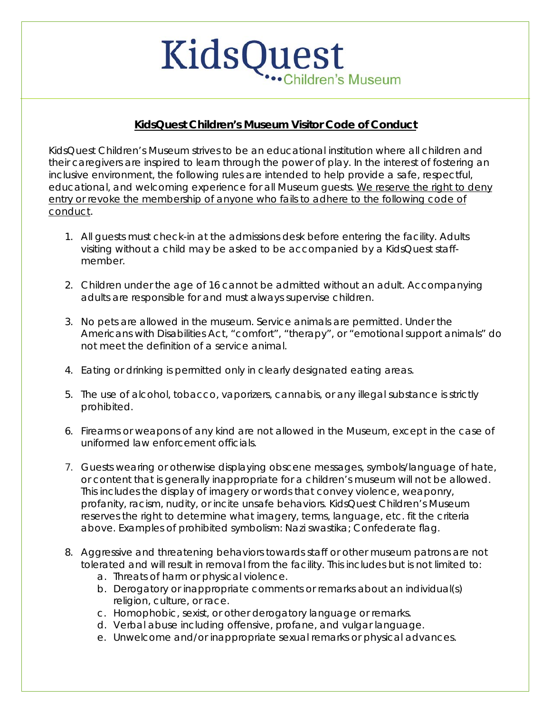## KidsQuest hildren's Museum

## **KidsQuest Children's Museum Visitor Code of Conduct**

KidsQuest Children's Museum strives to be an educational institution where all children and their caregivers are inspired to learn through the power of play. In the interest of fostering an inclusive environment, the following rules are intended to help provide a safe, respectful, educational, and welcoming experience for all Museum guests. We reserve the right to deny entry or revoke the membership of anyone who fails to adhere to the following code of conduct.

- 1. All guests must check-in at the admissions desk before entering the facility. Adults visiting without a child may be asked to be accompanied by a KidsQuest staffmember.
- 2. Children under the age of 16 cannot be admitted without an adult. Accompanying adults are responsible for and must always supervise children.
- 3. No pets are allowed in the museum. Service animals are permitted. Under the Americans with Disabilities Act, "comfort", "therapy", or "emotional support animals" do not meet the definition of a service animal.
- 4. Eating or drinking is permitted only in clearly designated eating areas.
- 5. The use of alcohol, tobacco, vaporizers, cannabis, or any illegal substance is strictly prohibited.
- 6. Firearms or weapons of any kind are not allowed in the Museum, except in the case of uniformed law enforcement officials.
- 7. Guests wearing or otherwise displaying obscene messages, symbols/language of hate, or content that is generally inappropriate for a children's museum will not be allowed. This includes the display of imagery or words that convey violence, weaponry, profanity, racism, nudity, or incite unsafe behaviors. KidsQuest Children's Museum reserves the right to determine what imagery, terms, language, etc. fit the criteria above. Examples of prohibited symbolism: Nazi swastika; Confederate flag.
- 8. Aggressive and threatening behaviors towards staff or other museum patrons are not tolerated and will result in removal from the facility. This includes but is not limited to:
	- a. Threats of harm or physical violence.
	- b. Derogatory or inappropriate comments or remarks about an individual(s) religion, culture, or race.
	- c. Homophobic, sexist, or other derogatory language or remarks.
	- d. Verbal abuse including offensive, profane, and vulgar language.
	- e. Unwelcome and/or inappropriate sexual remarks or physical advances.